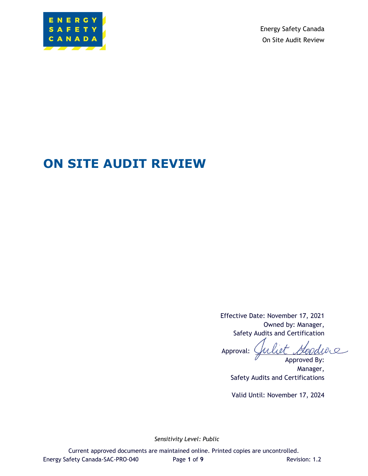

Energy Safety Canada On Site Audit Review

# **ON SITE AUDIT REVIEW**

Effective Date: November 17, 2021 Owned by: Manager, Safety Audits and Certification

Goodwe Approval: Approved By:

Manager, Safety Audits and Certifications

Valid Until: November 17, 2024

*Sensitivity Level: Public*

Current approved documents are maintained online. Printed copies are uncontrolled. Energy Safety Canada-SAC-PRO-040 Page **1** of **9** Revision: 1.2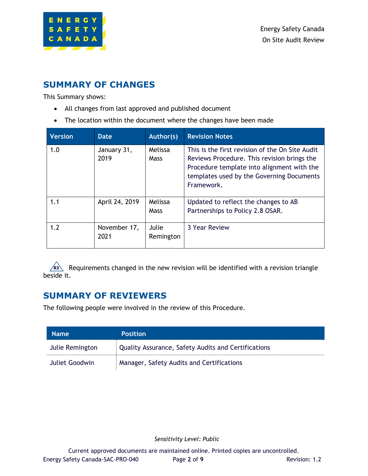

## <span id="page-1-0"></span>**SUMMARY OF CHANGES**

This Summary shows:

- All changes from last approved and published document
- The location within the document where the changes have been made

| <b>Version</b> | <b>Date</b>          | Author(s)              | <b>Revision Notes</b>                                                                                                                                                                                   |
|----------------|----------------------|------------------------|---------------------------------------------------------------------------------------------------------------------------------------------------------------------------------------------------------|
| 1.0            | January 31,<br>2019  | Melissa<br><b>Mass</b> | This is the first revision of the On Site Audit<br>Reviews Procedure. This revision brings the<br>Procedure template into alignment with the<br>templates used by the Governing Documents<br>Framework. |
| 1.1            | April 24, 2019       | Melissa<br>Mass        | Updated to reflect the changes to AB<br>Partnerships to Policy 2.8 OSAR.                                                                                                                                |
| 1.2            | November 17,<br>2021 | Julie<br>Remington     | 3 Year Review                                                                                                                                                                                           |

R<sub>3</sub> Requirements changed in the new revision will be identified with a revision triangle beside it.

## <span id="page-1-1"></span>**SUMMARY OF REVIEWERS**

The following people were involved in the review of this Procedure.

| <b>Name</b>     | <b>Position</b>                                            |
|-----------------|------------------------------------------------------------|
| Julie Remington | <b>Quality Assurance, Safety Audits and Certifications</b> |
| Juliet Goodwin  | Manager, Safety Audits and Certifications                  |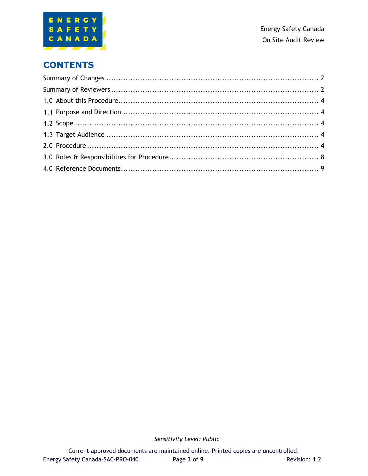

## **CONTENTS**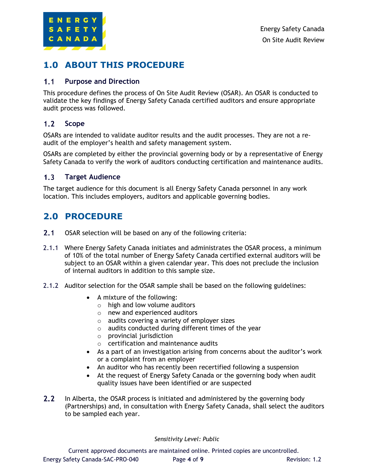

## <span id="page-3-0"></span>**1.0 ABOUT THIS PROCEDURE**

### <span id="page-3-1"></span> $1.1$ **Purpose and Direction**

This procedure defines the process of On Site Audit Review (OSAR). An OSAR is conducted to validate the key findings of Energy Safety Canada certified auditors and ensure appropriate audit process was followed.

### <span id="page-3-2"></span> $1.2$ **Scope**

OSARs are intended to validate auditor results and the audit processes. They are not a reaudit of the employer's health and safety management system.

OSARs are completed by either the provincial governing body or by a representative of Energy Safety Canada to verify the work of auditors conducting certification and maintenance audits.

### <span id="page-3-3"></span>**Target Audience**  $1.3$

The target audience for this document is all Energy Safety Canada personnel in any work location. This includes employers, auditors and applicable governing bodies.

## <span id="page-3-4"></span>**2.0 PROCEDURE**

- $2.1$ OSAR selection will be based on any of the following criteria:
- 2.1.1 Where Energy Safety Canada initiates and administrates the OSAR process, a minimum of 10% of the total number of Energy Safety Canada certified external auditors will be subject to an OSAR within a given calendar year. This does not preclude the inclusion of internal auditors in addition to this sample size.
- 2.1.2 Auditor selection for the OSAR sample shall be based on the following guidelines:
	- A mixture of the following:
		- $\circ$  high and low volume auditors
		- o new and experienced auditors
		- o audits covering a variety of employer sizes
		- o audits conducted during different times of the year
		- $\circ$  provincial jurisdiction
		- o certification and maintenance audits
	- As a part of an investigation arising from concerns about the auditor's work or a complaint from an employer
	- An auditor who has recently been recertified following a suspension
	- At the request of Energy Safety Canada or the governing body when audit quality issues have been identified or are suspected
- $2.2$ In Alberta, the OSAR process is initiated and administered by the governing body (Partnerships) and, in consultation with Energy Safety Canada, shall select the auditors to be sampled each year.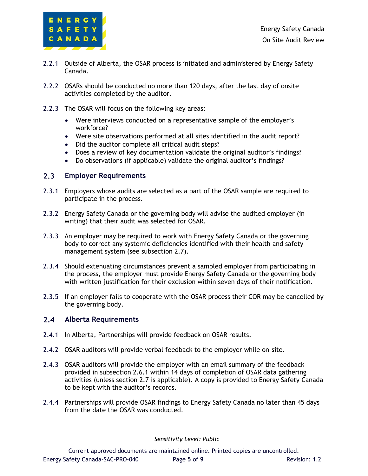

- 2.2.1 Outside of Alberta, the OSAR process is initiated and administered by Energy Safety Canada.
- 2.2.2 OSARs should be conducted no more than 120 days, after the last day of onsite activities completed by the auditor.
- 2.2.3 The OSAR will focus on the following key areas:
	- Were interviews conducted on a representative sample of the employer's workforce?
	- Were site observations performed at all sites identified in the audit report?
	- Did the auditor complete all critical audit steps?
	- Does a review of key documentation validate the original auditor's findings?
	- Do observations (if applicable) validate the original auditor's findings?

### $2.3$ **Employer Requirements**

- 2.3.1 Employers whose audits are selected as a part of the OSAR sample are required to participate in the process.
- 2.3.2 Energy Safety Canada or the governing body will advise the audited employer (in writing) that their audit was selected for OSAR.
- 2.3.3 An employer may be required to work with Energy Safety Canada or the governing body to correct any systemic deficiencies identified with their health and safety management system (see subsection 2.7).
- 2.3.4 Should extenuating circumstances prevent a sampled employer from participating in the process, the employer must provide Energy Safety Canada or the governing body with written justification for their exclusion within seven days of their notification.
- 2.3.5 If an employer fails to cooperate with the OSAR process their COR may be cancelled by the governing body.

### **Alberta Requirements**

- 2.4.1 In Alberta, Partnerships will provide feedback on OSAR results.
- 2.4.2 OSAR auditors will provide verbal feedback to the employer while on-site.
- 2.4.3 OSAR auditors will provide the employer with an email summary of the feedback provided in subsection 2.6.1 within 14 days of completion of OSAR data gathering activities (unless section 2.7 is applicable). A copy is provided to Energy Safety Canada to be kept with the auditor's records.
- 2.4.4 Partnerships will provide OSAR findings to Energy Safety Canada no later than 45 days from the date the OSAR was conducted.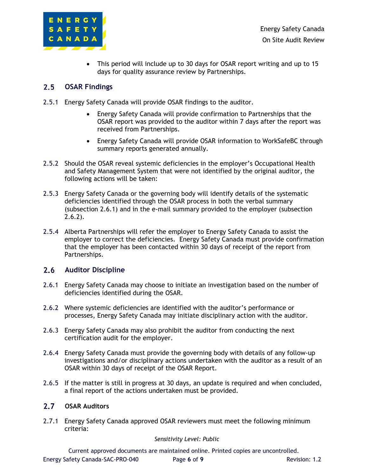

• This period will include up to 30 days for OSAR report writing and up to 15 days for quality assurance review by Partnerships.

### $2.5$ **OSAR Findings**

- 2.5.1 Energy Safety Canada will provide OSAR findings to the auditor.
	- Energy Safety Canada will provide confirmation to Partnerships that the OSAR report was provided to the auditor within 7 days after the report was received from Partnerships.
	- Energy Safety Canada will provide OSAR information to WorkSafeBC through summary reports generated annually.
- 2.5.2 Should the OSAR reveal systemic deficiencies in the employer's Occupational Health and Safety Management System that were not identified by the original auditor, the following actions will be taken:
- 2.5.3 Energy Safety Canada or the governing body will identify details of the systematic deficiencies identified through the OSAR process in both the verbal summary (subsection 2.6.1) and in the e-mail summary provided to the employer (subsection 2.6.2).
- 2.5.4 Alberta Partnerships will refer the employer to Energy Safety Canada to assist the employer to correct the deficiencies. Energy Safety Canada must provide confirmation that the employer has been contacted within 30 days of receipt of the report from Partnerships.

### $2.6$ **Auditor Discipline**

- 2.6.1 Energy Safety Canada may choose to initiate an investigation based on the number of deficiencies identified during the OSAR.
- 2.6.2 Where systemic deficiencies are identified with the auditor's performance or processes, Energy Safety Canada may initiate disciplinary action with the auditor.
- 2.6.3 Energy Safety Canada may also prohibit the auditor from conducting the next certification audit for the employer.
- 2.6.4 Energy Safety Canada must provide the governing body with details of any follow-up investigations and/or disciplinary actions undertaken with the auditor as a result of an OSAR within 30 days of receipt of the OSAR Report.
- 2.6.5 If the matter is still in progress at 30 days, an update is required and when concluded, a final report of the actions undertaken must be provided.

### **OSAR Auditors**

2.7.1 Energy Safety Canada approved OSAR reviewers must meet the following minimum criteria:

### *Sensitivity Level: Public*

Current approved documents are maintained online. Printed copies are uncontrolled. Energy Safety Canada-SAC-PRO-040 Page **6** of **9** Revision: 1.2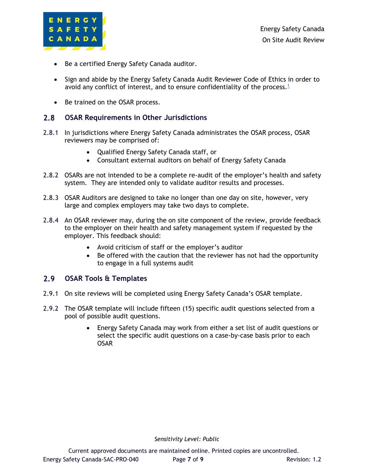

- Be a certified Energy Safety Canada auditor.
- Sign and abide by the Energy Safety Canada Audit Reviewer Code of Ethics in order to avoid any conflict of interest, and to ensure confidentiality of the process. $1$
- Be trained on the OSAR process.

### $2.8$ **OSAR Requirements in Other Jurisdictions**

- 2.8.1 In jurisdictions where Energy Safety Canada administrates the OSAR process, OSAR reviewers may be comprised of:
	- Qualified Energy Safety Canada staff, or
	- Consultant external auditors on behalf of Energy Safety Canada
- 2.8.2 OSARs are not intended to be a complete re-audit of the employer's health and safety system. They are intended only to validate auditor results and processes.
- 2.8.3 OSAR Auditors are designed to take no longer than one day on site, however, very large and complex employers may take two days to complete.
- 2.8.4 An OSAR reviewer may, during the on site component of the review, provide feedback to the employer on their health and safety management system if requested by the employer. This feedback should:
	- Avoid criticism of staff or the employer's auditor
	- Be offered with the caution that the reviewer has not had the opportunity to engage in a full systems audit

### $2.9$ **OSAR Tools & Templates**

- 2.9.1 On site reviews will be completed using Energy Safety Canada's OSAR template.
- <span id="page-6-0"></span>2.9.2 The OSAR template will include fifteen (15) specific audit questions selected from a pool of possible audit questions.
	- Energy Safety Canada may work from either a set list of audit questions or select the specific audit questions on a case-by-case basis prior to each OSAR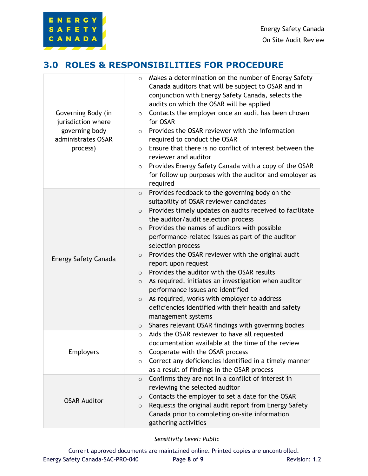## **3.0 ROLES & RESPONSIBILITIES FOR PROCEDURE**

ENERGY SAFETY CANADA

| Governing Body (in<br>jurisdiction where<br>governing body<br>administrates OSAR<br>process) | Makes a determination on the number of Energy Safety<br>$\circ$<br>Canada auditors that will be subject to OSAR and in<br>conjunction with Energy Safety Canada, selects the<br>audits on which the OSAR will be applied<br>Contacts the employer once an audit has been chosen<br>$\circ$<br>for OSAR<br>Provides the OSAR reviewer with the information<br>$\circ$<br>required to conduct the OSAR<br>Ensure that there is no conflict of interest between the<br>$\circ$<br>reviewer and auditor<br>Provides Energy Safety Canada with a copy of the OSAR<br>$\circ$<br>for follow up purposes with the auditor and employer as<br>required                                                                                                                                                                             |
|----------------------------------------------------------------------------------------------|----------------------------------------------------------------------------------------------------------------------------------------------------------------------------------------------------------------------------------------------------------------------------------------------------------------------------------------------------------------------------------------------------------------------------------------------------------------------------------------------------------------------------------------------------------------------------------------------------------------------------------------------------------------------------------------------------------------------------------------------------------------------------------------------------------------------------|
| Energy Safety Canada                                                                         | Provides feedback to the governing body on the<br>$\circ$<br>suitability of OSAR reviewer candidates<br>Provides timely updates on audits received to facilitate<br>$\circ$<br>the auditor/audit selection process<br>Provides the names of auditors with possible<br>$\circ$<br>performance-related issues as part of the auditor<br>selection process<br>Provides the OSAR reviewer with the original audit<br>$\circ$<br>report upon request<br>Provides the auditor with the OSAR results<br>$\circ$<br>As required, initiates an investigation when auditor<br>$\circ$<br>performance issues are identified<br>As required, works with employer to address<br>$\circ$<br>deficiencies identified with their health and safety<br>management systems<br>Shares relevant OSAR findings with governing bodies<br>$\circ$ |
| <b>Employers</b>                                                                             | Aids the OSAR reviewer to have all requested<br>$\circ$<br>documentation available at the time of the review<br>Cooperate with the OSAR process<br>$\circ$<br>Correct any deficiencies identified in a timely manner<br>$\circ$<br>as a result of findings in the OSAR process                                                                                                                                                                                                                                                                                                                                                                                                                                                                                                                                             |
| <b>OSAR Auditor</b>                                                                          | Confirms they are not in a conflict of interest in<br>$\circ$<br>reviewing the selected auditor<br>Contacts the employer to set a date for the OSAR<br>$\circ$<br>Requests the original audit report from Energy Safety<br>$\circ$<br>Canada prior to completing on-site information<br>gathering activities                                                                                                                                                                                                                                                                                                                                                                                                                                                                                                               |

*Sensitivity Level: Public*

Current approved documents are maintained online. Printed copies are uncontrolled. Energy Safety Canada-SAC-PRO-040 Page 8 of 9 Revision: 1.2